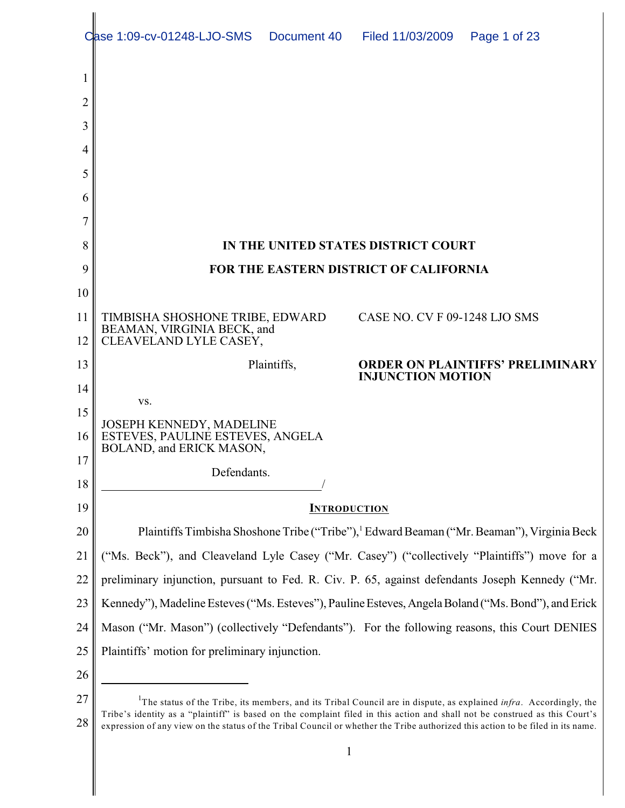|    | Case 1:09-cv-01248-LJO-SMS                                                                          |             | Document 40 Filed 11/03/2009        | Page 1 of 23                            |  |  |
|----|-----------------------------------------------------------------------------------------------------|-------------|-------------------------------------|-----------------------------------------|--|--|
| 1  |                                                                                                     |             |                                     |                                         |  |  |
| 2  |                                                                                                     |             |                                     |                                         |  |  |
| 3  |                                                                                                     |             |                                     |                                         |  |  |
| 4  |                                                                                                     |             |                                     |                                         |  |  |
| 5  |                                                                                                     |             |                                     |                                         |  |  |
| 6  |                                                                                                     |             |                                     |                                         |  |  |
|    |                                                                                                     |             |                                     |                                         |  |  |
| 8  |                                                                                                     |             | IN THE UNITED STATES DISTRICT COURT |                                         |  |  |
| 9  | FOR THE EASTERN DISTRICT OF CALIFORNIA                                                              |             |                                     |                                         |  |  |
| 10 |                                                                                                     |             |                                     |                                         |  |  |
| 11 | TIMBISHA SHOSHONE TRIBE, EDWARD                                                                     |             | CASE NO. CV F 09-1248 LJO SMS       |                                         |  |  |
| 12 | BEAMAN, VIRGINIA BECK, and<br>CLEAVELAND LYLE CASEY,                                                |             |                                     |                                         |  |  |
| 13 |                                                                                                     | Plaintiffs, | <b>INJUNCTION MOTION</b>            | <b>ORDER ON PLAINTIFFS' PRELIMINARY</b> |  |  |
| 14 | VS.                                                                                                 |             |                                     |                                         |  |  |
| 15 |                                                                                                     |             |                                     |                                         |  |  |
| 16 | JOSEPH KENNEDY, MADELINE<br>ESTEVES, PAULINE ESTEVES, ANGELA<br>BOLAND, and ERICK MASON,            |             |                                     |                                         |  |  |
| 17 | Defendants.                                                                                         |             |                                     |                                         |  |  |
| 18 |                                                                                                     |             |                                     |                                         |  |  |
| 19 | <b>INTRODUCTION</b>                                                                                 |             |                                     |                                         |  |  |
| 20 | Plaintiffs Timbisha Shoshone Tribe ("Tribe"), Edward Beaman ("Mr. Beaman"), Virginia Beck           |             |                                     |                                         |  |  |
| 21 | ("Ms. Beck"), and Cleaveland Lyle Casey ("Mr. Casey") ("collectively "Plaintiffs") move for a       |             |                                     |                                         |  |  |
| 22 | preliminary injunction, pursuant to Fed. R. Civ. P. 65, against defendants Joseph Kennedy ("Mr.     |             |                                     |                                         |  |  |
| 23 | Kennedy"), Madeline Esteves ("Ms. Esteves"), Pauline Esteves, Angela Boland ("Ms. Bond"), and Erick |             |                                     |                                         |  |  |
| 24 | Mason ("Mr. Mason") (collectively "Defendants"). For the following reasons, this Court DENIES       |             |                                     |                                         |  |  |
| 25 | Plaintiffs' motion for preliminary injunction.                                                      |             |                                     |                                         |  |  |
| 26 |                                                                                                     |             |                                     |                                         |  |  |
| 27 |                                                                                                     |             |                                     |                                         |  |  |

<sup>27</sup> 28 The status of the Tribe, its members, and its Tribal Council are in dispute, as explained *infra*. Accordingly, the <sup>1</sup> Tribe's identity as a "plaintiff" is based on the complaint filed in this action and shall not be construed as this Court's expression of any view on the status of the Tribal Council or whether the Tribe authorized this action to be filed in its name.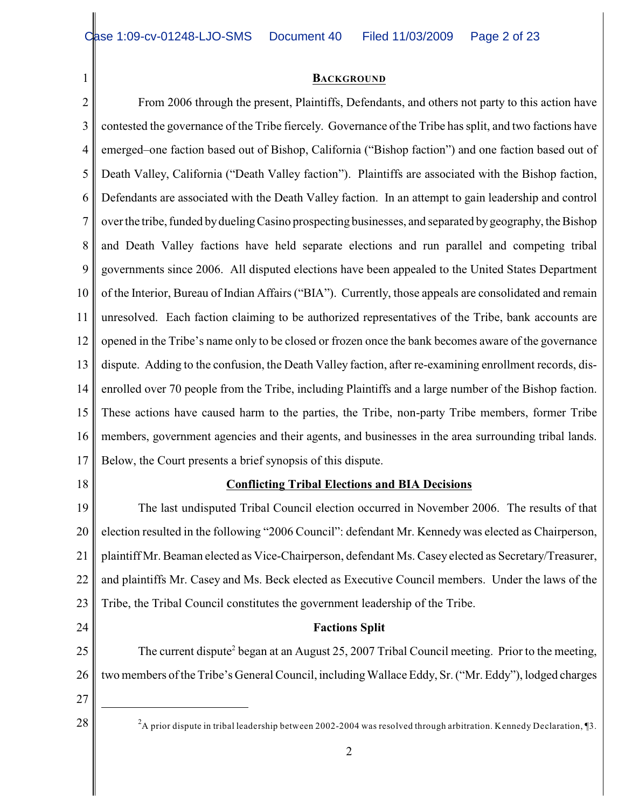#### **BACKGROUND**

2 3 4 5 6 7 8 9 10 11 12 13 14 15 16 17 18 19 20 21 22 From 2006 through the present, Plaintiffs, Defendants, and others not party to this action have contested the governance of the Tribe fiercely. Governance of the Tribe has split, and two factions have emerged–one faction based out of Bishop, California ("Bishop faction") and one faction based out of Death Valley, California ("Death Valley faction"). Plaintiffs are associated with the Bishop faction, Defendants are associated with the Death Valley faction. In an attempt to gain leadership and control over the tribe, funded by dueling Casino prospecting businesses, and separated by geography, the Bishop and Death Valley factions have held separate elections and run parallel and competing tribal governments since 2006. All disputed elections have been appealed to the United States Department of the Interior, Bureau of Indian Affairs ("BIA"). Currently, those appeals are consolidated and remain unresolved. Each faction claiming to be authorized representatives of the Tribe, bank accounts are opened in the Tribe's name only to be closed or frozen once the bank becomes aware of the governance dispute. Adding to the confusion, the Death Valley faction, after re-examining enrollment records, disenrolled over 70 people from the Tribe, including Plaintiffs and a large number of the Bishop faction. These actions have caused harm to the parties, the Tribe, non-party Tribe members, former Tribe members, government agencies and their agents, and businesses in the area surrounding tribal lands. Below, the Court presents a brief synopsis of this dispute. **Conflicting Tribal Elections and BIA Decisions** The last undisputed Tribal Council election occurred in November 2006. The results of that election resulted in the following "2006 Council": defendant Mr. Kennedy was elected as Chairperson, plaintiff Mr. Beaman elected as Vice-Chairperson, defendant Ms. Casey elected as Secretary/Treasurer, and plaintiffs Mr. Casey and Ms. Beck elected as Executive Council members. Under the laws of the

23 Tribe, the Tribal Council constitutes the government leadership of the Tribe.

# **Factions Split**

25 26 The current dispute<sup>2</sup> began at an August 25, 2007 Tribal Council meeting. Prior to the meeting, two members of the Tribe's General Council, including Wallace Eddy, Sr. ("Mr. Eddy"), lodged charges

27

24

1

28  $\parallel$  <sup>2</sup>A prior dispute in tribal leadership between 2002-2004 was resolved through arbitration. Kennedy Declaration, [3.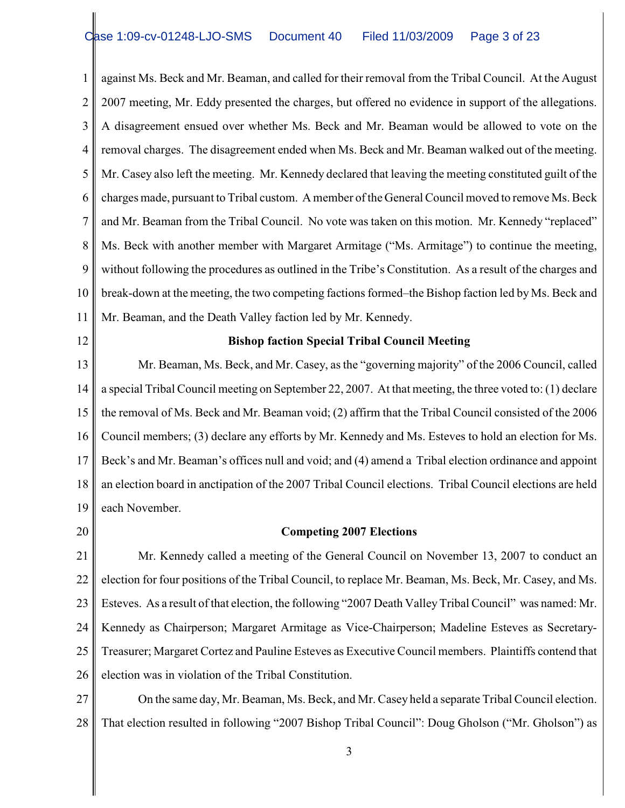1 2 3 4 5 6 7 8 9 10 11 against Ms. Beck and Mr. Beaman, and called for their removal from the Tribal Council. At the August 2007 meeting, Mr. Eddy presented the charges, but offered no evidence in support of the allegations. A disagreement ensued over whether Ms. Beck and Mr. Beaman would be allowed to vote on the removal charges. The disagreement ended when Ms. Beck and Mr. Beaman walked out of the meeting. Mr. Casey also left the meeting. Mr. Kennedy declared that leaving the meeting constituted guilt of the charges made, pursuant to Tribal custom. A member of the General Council moved to remove Ms. Beck and Mr. Beaman from the Tribal Council. No vote was taken on this motion. Mr. Kennedy "replaced" Ms. Beck with another member with Margaret Armitage ("Ms. Armitage") to continue the meeting, without following the procedures as outlined in the Tribe's Constitution. As a result of the charges and break-down at the meeting, the two competing factions formed–the Bishop faction led by Ms. Beck and Mr. Beaman, and the Death Valley faction led by Mr. Kennedy.

12

#### **Bishop faction Special Tribal Council Meeting**

13 14 15 16 17 18 19 Mr. Beaman, Ms. Beck, and Mr. Casey, as the "governing majority" of the 2006 Council, called a special Tribal Council meeting on September 22, 2007. At that meeting, the three voted to: (1) declare the removal of Ms. Beck and Mr. Beaman void; (2) affirm that the Tribal Council consisted of the 2006 Council members; (3) declare any efforts by Mr. Kennedy and Ms. Esteves to hold an election for Ms. Beck's and Mr. Beaman's offices null and void; and (4) amend a Tribal election ordinance and appoint an election board in anctipation of the 2007 Tribal Council elections. Tribal Council elections are held each November.

20

#### **Competing 2007 Elections**

21 22 23 24 25 26 Mr. Kennedy called a meeting of the General Council on November 13, 2007 to conduct an election for four positions of the Tribal Council, to replace Mr. Beaman, Ms. Beck, Mr. Casey, and Ms. Esteves. As a result of that election, the following "2007 Death Valley Tribal Council" was named: Mr. Kennedy as Chairperson; Margaret Armitage as Vice-Chairperson; Madeline Esteves as Secretary-Treasurer; Margaret Cortez and Pauline Esteves as Executive Council members. Plaintiffs contend that election was in violation of the Tribal Constitution.

27 28 On the same day, Mr. Beaman, Ms. Beck, and Mr. Casey held a separate Tribal Council election. That election resulted in following "2007 Bishop Tribal Council": Doug Gholson ("Mr. Gholson") as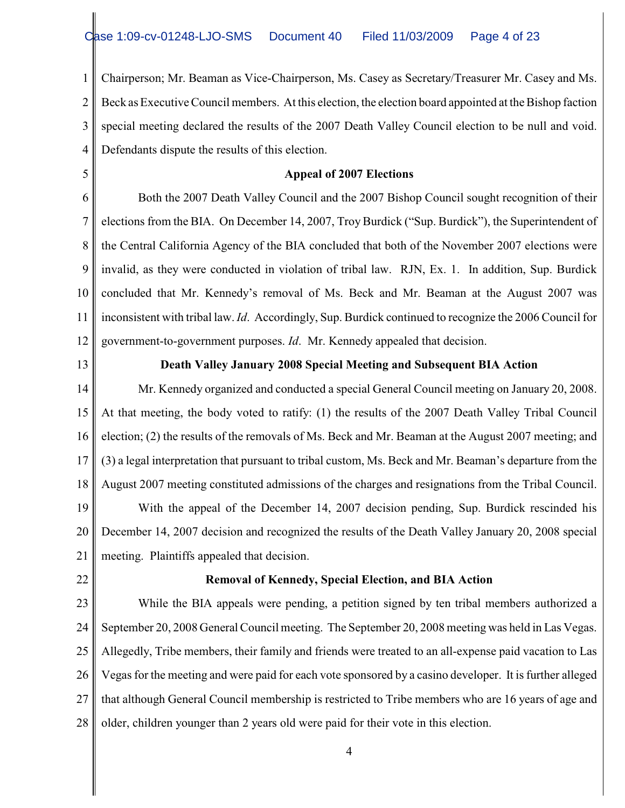1 2 3 4 Chairperson; Mr. Beaman as Vice-Chairperson, Ms. Casey as Secretary/Treasurer Mr. Casey and Ms. Beck as Executive Council members. At this election, the election board appointed at the Bishop faction special meeting declared the results of the 2007 Death Valley Council election to be null and void. Defendants dispute the results of this election.

5

#### **Appeal of 2007 Elections**

6 7 8 9 10 11 12 Both the 2007 Death Valley Council and the 2007 Bishop Council sought recognition of their elections from the BIA. On December 14, 2007, Troy Burdick ("Sup. Burdick"), the Superintendent of the Central California Agency of the BIA concluded that both of the November 2007 elections were invalid, as they were conducted in violation of tribal law. RJN, Ex. 1. In addition, Sup. Burdick concluded that Mr. Kennedy's removal of Ms. Beck and Mr. Beaman at the August 2007 was inconsistent with tribal law. *Id*. Accordingly, Sup. Burdick continued to recognize the 2006 Council for government-to-government purposes. *Id*. Mr. Kennedy appealed that decision.

13

## **Death Valley January 2008 Special Meeting and Subsequent BIA Action**

14 15 16 17 18 19 20 21 Mr. Kennedy organized and conducted a special General Council meeting on January 20, 2008. At that meeting, the body voted to ratify: (1) the results of the 2007 Death Valley Tribal Council election; (2) the results of the removals of Ms. Beck and Mr. Beaman at the August 2007 meeting; and (3) a legal interpretation that pursuant to tribal custom, Ms. Beck and Mr. Beaman's departure from the August 2007 meeting constituted admissions of the charges and resignations from the Tribal Council. With the appeal of the December 14, 2007 decision pending, Sup. Burdick rescinded his December 14, 2007 decision and recognized the results of the Death Valley January 20, 2008 special meeting. Plaintiffs appealed that decision.

22

#### **Removal of Kennedy, Special Election, and BIA Action**

23 24 25 26 27 28 While the BIA appeals were pending, a petition signed by ten tribal members authorized a September 20, 2008 General Council meeting. The September 20, 2008 meeting was held in Las Vegas. Allegedly, Tribe members, their family and friends were treated to an all-expense paid vacation to Las Vegas for the meeting and were paid for each vote sponsored by a casino developer. It is further alleged that although General Council membership is restricted to Tribe members who are 16 years of age and older, children younger than 2 years old were paid for their vote in this election.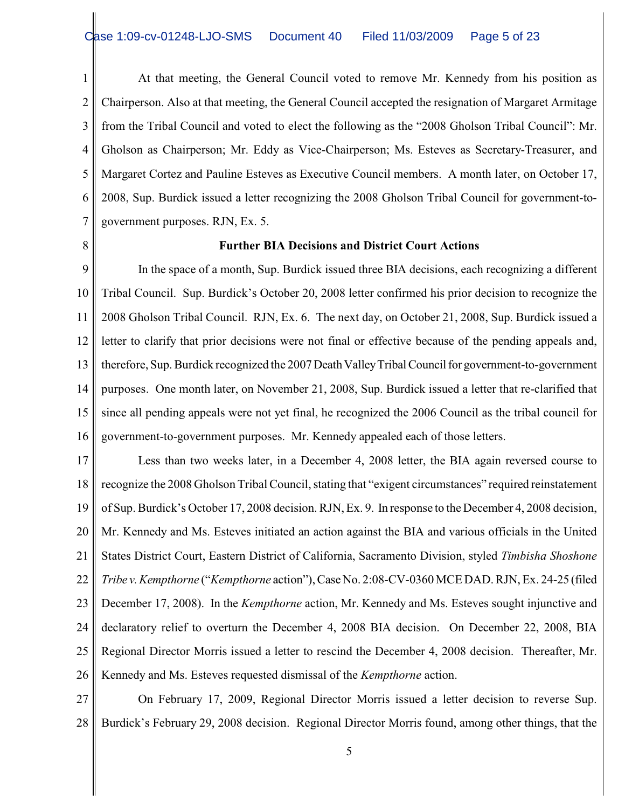1 2 3 4 5 6 7 At that meeting, the General Council voted to remove Mr. Kennedy from his position as Chairperson. Also at that meeting, the General Council accepted the resignation of Margaret Armitage from the Tribal Council and voted to elect the following as the "2008 Gholson Tribal Council": Mr. Gholson as Chairperson; Mr. Eddy as Vice-Chairperson; Ms. Esteves as Secretary-Treasurer, and Margaret Cortez and Pauline Esteves as Executive Council members. A month later, on October 17, 2008, Sup. Burdick issued a letter recognizing the 2008 Gholson Tribal Council for government-togovernment purposes. RJN, Ex. 5.

8

### **Further BIA Decisions and District Court Actions**

9 10 11 12 13 14 15 16 In the space of a month, Sup. Burdick issued three BIA decisions, each recognizing a different Tribal Council. Sup. Burdick's October 20, 2008 letter confirmed his prior decision to recognize the 2008 Gholson Tribal Council. RJN, Ex. 6. The next day, on October 21, 2008, Sup. Burdick issued a letter to clarify that prior decisions were not final or effective because of the pending appeals and, therefore, Sup. Burdick recognized the 2007 Death Valley Tribal Council for government-to-government purposes. One month later, on November 21, 2008, Sup. Burdick issued a letter that re-clarified that since all pending appeals were not yet final, he recognized the 2006 Council as the tribal council for government-to-government purposes. Mr. Kennedy appealed each of those letters.

17 18 19 20 21 22 23 24 25 26 Less than two weeks later, in a December 4, 2008 letter, the BIA again reversed course to recognize the 2008 Gholson Tribal Council, stating that "exigent circumstances" required reinstatement of Sup. Burdick's October 17, 2008 decision. RJN, Ex. 9. In response to the December 4, 2008 decision, Mr. Kennedy and Ms. Esteves initiated an action against the BIA and various officials in the United States District Court, Eastern District of California, Sacramento Division, styled *Timbisha Shoshone Tribe v. Kempthorne* ("*Kempthorne* action"), Case No. 2:08-CV-0360 MCE DAD. RJN, Ex. 24-25 (filed December 17, 2008). In the *Kempthorne* action, Mr. Kennedy and Ms. Esteves sought injunctive and declaratory relief to overturn the December 4, 2008 BIA decision. On December 22, 2008, BIA Regional Director Morris issued a letter to rescind the December 4, 2008 decision. Thereafter, Mr. Kennedy and Ms. Esteves requested dismissal of the *Kempthorne* action.

27 28 On February 17, 2009, Regional Director Morris issued a letter decision to reverse Sup. Burdick's February 29, 2008 decision. Regional Director Morris found, among other things, that the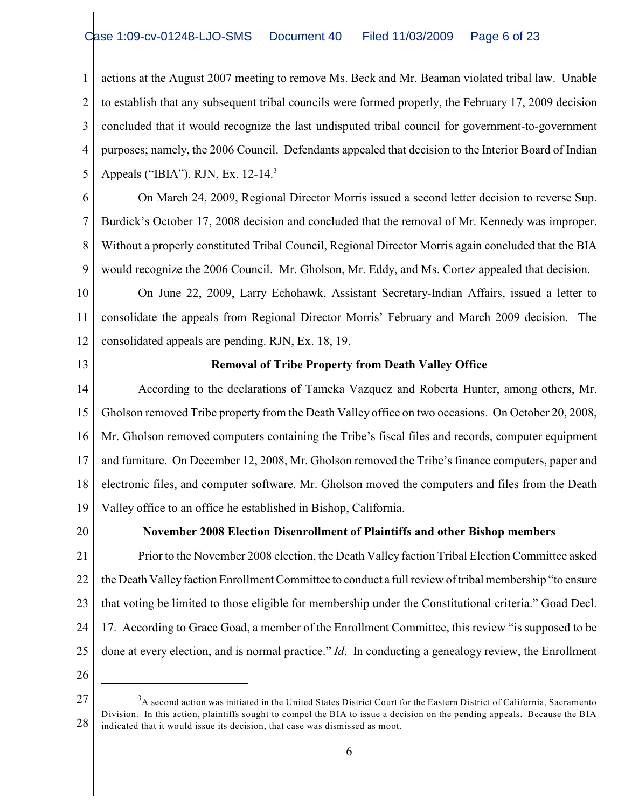1 2 3 4 5 actions at the August 2007 meeting to remove Ms. Beck and Mr. Beaman violated tribal law. Unable to establish that any subsequent tribal councils were formed properly, the February 17, 2009 decision concluded that it would recognize the last undisputed tribal council for government-to-government purposes; namely, the 2006 Council. Defendants appealed that decision to the Interior Board of Indian Appeals ("IBIA"). RJN, Ex. 12-14.<sup>3</sup>

6

7 8 9 On March 24, 2009, Regional Director Morris issued a second letter decision to reverse Sup. Burdick's October 17, 2008 decision and concluded that the removal of Mr. Kennedy was improper. Without a properly constituted Tribal Council, Regional Director Morris again concluded that the BIA would recognize the 2006 Council. Mr. Gholson, Mr. Eddy, and Ms. Cortez appealed that decision.

10 11 12 On June 22, 2009, Larry Echohawk, Assistant Secretary-Indian Affairs, issued a letter to consolidate the appeals from Regional Director Morris' February and March 2009 decision. The consolidated appeals are pending. RJN, Ex. 18, 19.

13

# **Removal of Tribe Property from Death Valley Office**

14 15 16 17 18 19 According to the declarations of Tameka Vazquez and Roberta Hunter, among others, Mr. Gholson removed Tribe property from the Death Valley office on two occasions. On October 20, 2008, Mr. Gholson removed computers containing the Tribe's fiscal files and records, computer equipment and furniture. On December 12, 2008, Mr. Gholson removed the Tribe's finance computers, paper and electronic files, and computer software. Mr. Gholson moved the computers and files from the Death Valley office to an office he established in Bishop, California.

20

# **November 2008 Election Disenrollment of Plaintiffs and other Bishop members**

21 22 23 24 25 Prior to the November 2008 election, the Death Valley faction Tribal Election Committee asked the Death Valleyfaction Enrollment Committee to conduct a full review of tribal membership "to ensure that voting be limited to those eligible for membership under the Constitutional criteria." Goad Decl. 17. According to Grace Goad, a member of the Enrollment Committee, this review "is supposed to be done at every election, and is normal practice." *Id*. In conducting a genealogy review, the Enrollment

<sup>27</sup> 28 <sup>3</sup>A second action was initiated in the United States District Court for the Eastern District of California, Sacramento Division. In this action, plaintiffs sought to compel the BIA to issue a decision on the pending appeals. Because the BIA indicated that it would issue its decision, that case was dismissed as moot.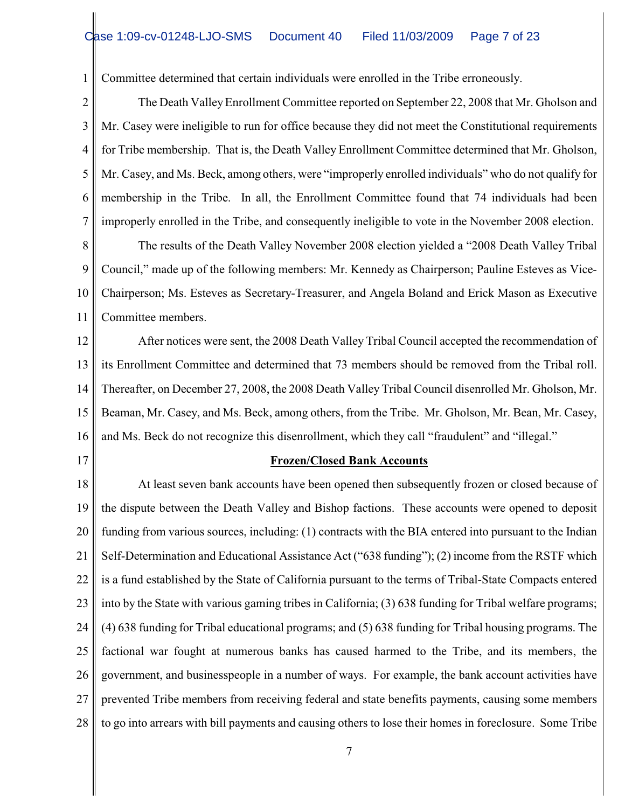Committee determined that certain individuals were enrolled in the Tribe erroneously.

2 3 4 5 6 7 The Death Valley Enrollment Committee reported on September 22, 2008 that Mr. Gholson and Mr. Casey were ineligible to run for office because they did not meet the Constitutional requirements for Tribe membership. That is, the Death Valley Enrollment Committee determined that Mr. Gholson, Mr. Casey, and Ms. Beck, among others, were "improperly enrolled individuals" who do not qualify for membership in the Tribe. In all, the Enrollment Committee found that 74 individuals had been improperly enrolled in the Tribe, and consequently ineligible to vote in the November 2008 election.

8 9 10 11 The results of the Death Valley November 2008 election yielded a "2008 Death Valley Tribal Council," made up of the following members: Mr. Kennedy as Chairperson; Pauline Esteves as Vice-Chairperson; Ms. Esteves as Secretary-Treasurer, and Angela Boland and Erick Mason as Executive Committee members.

12 13 14 15 16 After notices were sent, the 2008 Death Valley Tribal Council accepted the recommendation of its Enrollment Committee and determined that 73 members should be removed from the Tribal roll. Thereafter, on December 27, 2008, the 2008 Death Valley Tribal Council disenrolled Mr. Gholson, Mr. Beaman, Mr. Casey, and Ms. Beck, among others, from the Tribe. Mr. Gholson, Mr. Bean, Mr. Casey, and Ms. Beck do not recognize this disenrollment, which they call "fraudulent" and "illegal."

17

1

#### **Frozen/Closed Bank Accounts**

18 19 20 21 22 23 24 25 26 27 28 At least seven bank accounts have been opened then subsequently frozen or closed because of the dispute between the Death Valley and Bishop factions. These accounts were opened to deposit funding from various sources, including: (1) contracts with the BIA entered into pursuant to the Indian Self-Determination and Educational Assistance Act ("638 funding"); (2) income from the RSTF which is a fund established by the State of California pursuant to the terms of Tribal-State Compacts entered into by the State with various gaming tribes in California; (3) 638 funding for Tribal welfare programs; (4) 638 funding for Tribal educational programs; and (5) 638 funding for Tribal housing programs. The factional war fought at numerous banks has caused harmed to the Tribe, and its members, the government, and businesspeople in a number of ways. For example, the bank account activities have prevented Tribe members from receiving federal and state benefits payments, causing some members to go into arrears with bill payments and causing others to lose their homes in foreclosure. Some Tribe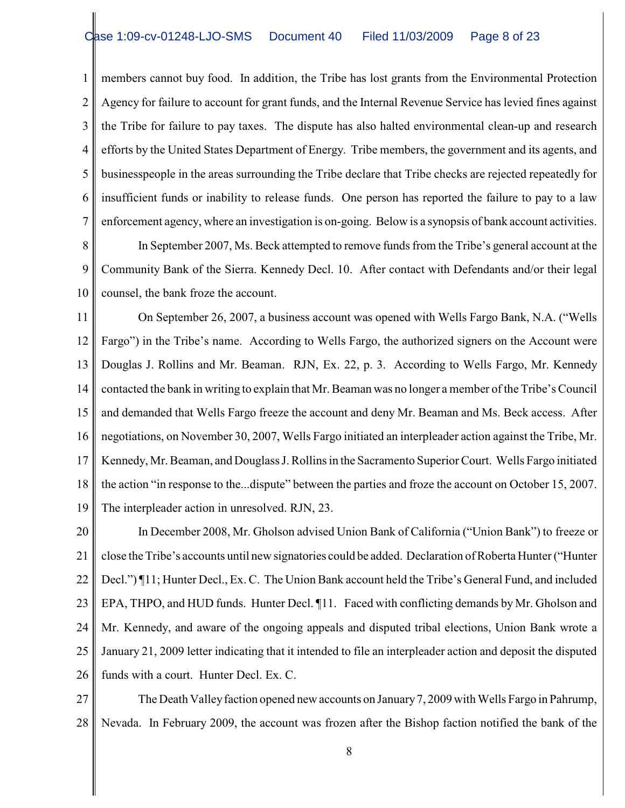1 2 3 4 5 6 7 8 members cannot buy food. In addition, the Tribe has lost grants from the Environmental Protection Agency for failure to account for grant funds, and the Internal Revenue Service has levied fines against the Tribe for failure to pay taxes. The dispute has also halted environmental clean-up and research efforts by the United States Department of Energy. Tribe members, the government and its agents, and businesspeople in the areas surrounding the Tribe declare that Tribe checks are rejected repeatedly for insufficient funds or inability to release funds. One person has reported the failure to pay to a law enforcement agency, where an investigation is on-going. Below is a synopsis of bank account activities. In September 2007, Ms. Beck attempted to remove funds from the Tribe's general account at the

9 10 Community Bank of the Sierra. Kennedy Decl. 10. After contact with Defendants and/or their legal counsel, the bank froze the account.

11 12 13 14 15 16 17 18 19 On September 26, 2007, a business account was opened with Wells Fargo Bank, N.A. ("Wells Fargo") in the Tribe's name. According to Wells Fargo, the authorized signers on the Account were Douglas J. Rollins and Mr. Beaman. RJN, Ex. 22, p. 3. According to Wells Fargo, Mr. Kennedy contacted the bank in writing to explain that Mr. Beaman was no longer a member of the Tribe's Council and demanded that Wells Fargo freeze the account and deny Mr. Beaman and Ms. Beck access. After negotiations, on November 30, 2007, Wells Fargo initiated an interpleader action against the Tribe, Mr. Kennedy, Mr. Beaman, and Douglass J. Rollins in the Sacramento Superior Court. Wells Fargo initiated the action "in response to the...dispute" between the parties and froze the account on October 15, 2007. The interpleader action in unresolved. RJN, 23.

20 21 22 23 24 25 26 In December 2008, Mr. Gholson advised Union Bank of California ("Union Bank") to freeze or close the Tribe's accounts until new signatories could be added. Declaration ofRoberta Hunter ("Hunter Decl.") ¶11; Hunter Decl., Ex. C. The Union Bank account held the Tribe's General Fund, and included EPA, THPO, and HUD funds. Hunter Decl. ¶11. Faced with conflicting demands by Mr. Gholson and Mr. Kennedy, and aware of the ongoing appeals and disputed tribal elections, Union Bank wrote a January 21, 2009 letter indicating that it intended to file an interpleader action and deposit the disputed funds with a court. Hunter Decl. Ex. C.

27 28 The Death Valley faction opened new accounts on January 7, 2009 with Wells Fargo in Pahrump, Nevada. In February 2009, the account was frozen after the Bishop faction notified the bank of the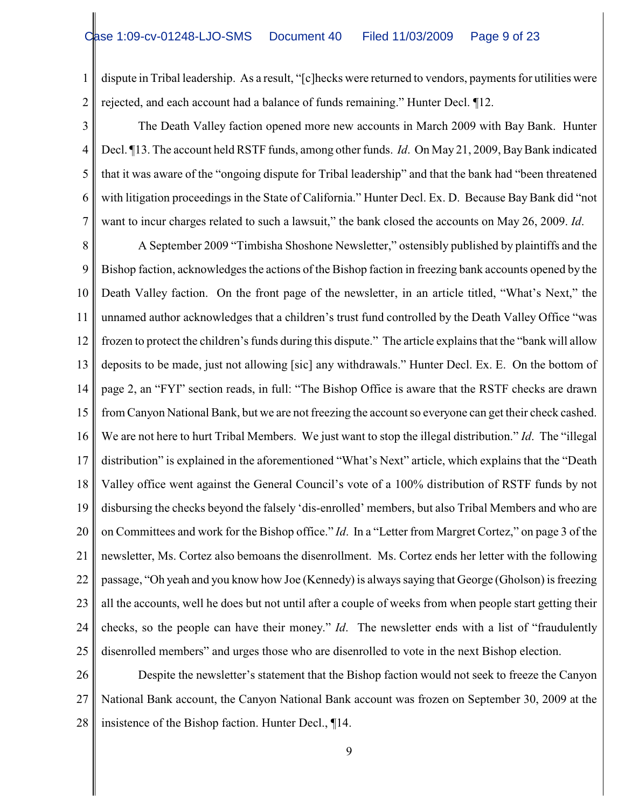1 2 dispute in Tribal leadership. As a result, "[c]hecks were returned to vendors, payments for utilities were rejected, and each account had a balance of funds remaining." Hunter Decl. ¶12.

3 4 5 6 7 The Death Valley faction opened more new accounts in March 2009 with Bay Bank. Hunter Decl. ¶13. The account held RSTF funds, among other funds. *Id*. On May 21, 2009, Bay Bank indicated that it was aware of the "ongoing dispute for Tribal leadership" and that the bank had "been threatened with litigation proceedings in the State of California." Hunter Decl. Ex. D. Because Bay Bank did "not want to incur charges related to such a lawsuit," the bank closed the accounts on May 26, 2009. *Id*.

8 9 10 11 12 13 14 15 16 17 18 19 20 21 22 23 24 25 A September 2009 "Timbisha Shoshone Newsletter," ostensibly published by plaintiffs and the Bishop faction, acknowledges the actions of the Bishop faction in freezing bank accounts opened by the Death Valley faction. On the front page of the newsletter, in an article titled, "What's Next," the unnamed author acknowledges that a children's trust fund controlled by the Death Valley Office "was frozen to protect the children's funds during this dispute." The article explains that the "bank will allow deposits to be made, just not allowing [sic] any withdrawals." Hunter Decl. Ex. E. On the bottom of page 2, an "FYI" section reads, in full: "The Bishop Office is aware that the RSTF checks are drawn from Canyon National Bank, but we are not freezing the account so everyone can get their check cashed. We are not here to hurt Tribal Members. We just want to stop the illegal distribution." *Id*. The "illegal distribution" is explained in the aforementioned "What's Next" article, which explains that the "Death Valley office went against the General Council's vote of a 100% distribution of RSTF funds by not disbursing the checks beyond the falsely 'dis-enrolled' members, but also Tribal Members and who are on Committees and work for the Bishop office." *Id*. In a "Letter from Margret Cortez," on page 3 of the newsletter, Ms. Cortez also bemoans the disenrollment. Ms. Cortez ends her letter with the following passage, "Oh yeah and you know how Joe (Kennedy) is always saying that George (Gholson) is freezing all the accounts, well he does but not until after a couple of weeks from when people start getting their checks, so the people can have their money." *Id*. The newsletter ends with a list of "fraudulently disenrolled members" and urges those who are disenrolled to vote in the next Bishop election.

26 27 28 Despite the newsletter's statement that the Bishop faction would not seek to freeze the Canyon National Bank account, the Canyon National Bank account was frozen on September 30, 2009 at the insistence of the Bishop faction. Hunter Decl., ¶14.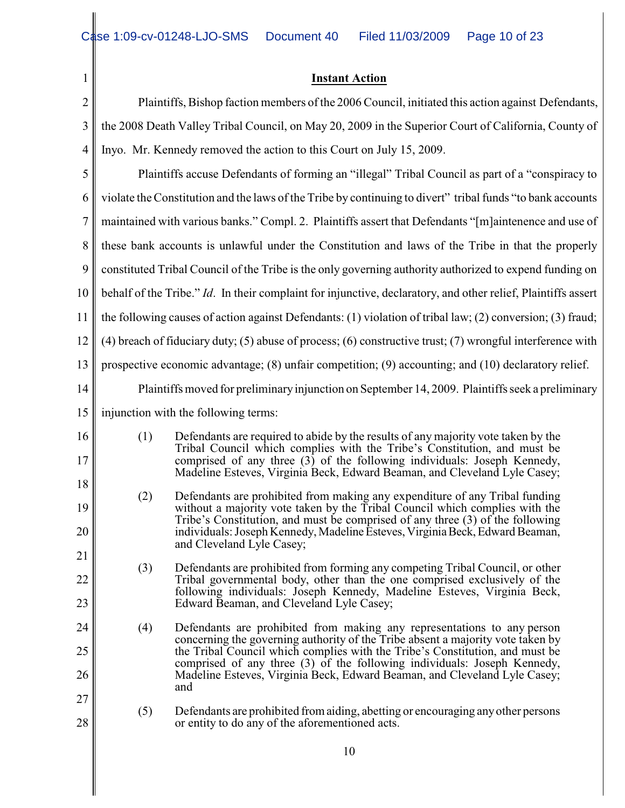| 1              | <b>Instant Action</b>                                                                                         |                                                                                                                                                                                                                                                                                                                          |  |  |  |
|----------------|---------------------------------------------------------------------------------------------------------------|--------------------------------------------------------------------------------------------------------------------------------------------------------------------------------------------------------------------------------------------------------------------------------------------------------------------------|--|--|--|
| $\overline{2}$ | Plaintiffs, Bishop faction members of the 2006 Council, initiated this action against Defendants,             |                                                                                                                                                                                                                                                                                                                          |  |  |  |
| 3              | the 2008 Death Valley Tribal Council, on May 20, 2009 in the Superior Court of California, County of          |                                                                                                                                                                                                                                                                                                                          |  |  |  |
| $\overline{4}$ | Inyo. Mr. Kennedy removed the action to this Court on July 15, 2009.                                          |                                                                                                                                                                                                                                                                                                                          |  |  |  |
| 5              | Plaintiffs accuse Defendants of forming an "illegal" Tribal Council as part of a "conspiracy to               |                                                                                                                                                                                                                                                                                                                          |  |  |  |
| 6              | violate the Constitution and the laws of the Tribe by continuing to divert" tribal funds "to bank accounts"   |                                                                                                                                                                                                                                                                                                                          |  |  |  |
| 7              | maintained with various banks." Compl. 2. Plaintiffs assert that Defendants "[m]aintenence and use of         |                                                                                                                                                                                                                                                                                                                          |  |  |  |
| 8              | these bank accounts is unlawful under the Constitution and laws of the Tribe in that the properly             |                                                                                                                                                                                                                                                                                                                          |  |  |  |
| 9              | constituted Tribal Council of the Tribe is the only governing authority authorized to expend funding on       |                                                                                                                                                                                                                                                                                                                          |  |  |  |
| 10             | behalf of the Tribe." Id. In their complaint for injunctive, declaratory, and other relief, Plaintiffs assert |                                                                                                                                                                                                                                                                                                                          |  |  |  |
| 11             | the following causes of action against Defendants: (1) violation of tribal law; (2) conversion; (3) fraud;    |                                                                                                                                                                                                                                                                                                                          |  |  |  |
| 12             | $(4)$ breach of fiduciary duty; (5) abuse of process; (6) constructive trust; (7) wrongful interference with  |                                                                                                                                                                                                                                                                                                                          |  |  |  |
| 13             | prospective economic advantage; (8) unfair competition; (9) accounting; and (10) declaratory relief.          |                                                                                                                                                                                                                                                                                                                          |  |  |  |
| 14             | Plaintiffs moved for preliminary injunction on September 14, 2009. Plaintiffs seek a preliminary              |                                                                                                                                                                                                                                                                                                                          |  |  |  |
| 15             | injunction with the following terms:                                                                          |                                                                                                                                                                                                                                                                                                                          |  |  |  |
| 16             | Defendants are required to abide by the results of any majority vote taken by the<br>(1)                      |                                                                                                                                                                                                                                                                                                                          |  |  |  |
| 17             |                                                                                                               | Tribal Council which complies with the Tribe's Constitution, and must be<br>comprised of any three $(3)$ of the following individuals: Joseph Kennedy,                                                                                                                                                                   |  |  |  |
| 18             |                                                                                                               | Madeline Esteves, Virginia Beck, Edward Beaman, and Cleveland Lyle Casey;                                                                                                                                                                                                                                                |  |  |  |
| 19             | (2)                                                                                                           | Defendants are prohibited from making any expenditure of any Tribal funding<br>without a majority vote taken by the Tribal Council which complies with the                                                                                                                                                               |  |  |  |
| 20             |                                                                                                               | Tribe's Constitution, and must be comprised of any three (3) of the following<br>individuals: Joseph Kennedy, Madeline Esteves, Virginia Beck, Edward Beaman,                                                                                                                                                            |  |  |  |
| 21             |                                                                                                               | and Cleveland Lyle Casey;                                                                                                                                                                                                                                                                                                |  |  |  |
| 22             | (3)                                                                                                           | Defendants are prohibited from forming any competing Tribal Council, or other<br>Tribal governmental body, other than the one comprised exclusively of the                                                                                                                                                               |  |  |  |
| 23             |                                                                                                               | following individuals: Joseph Kennedy, Madeline Esteves, Virginia Beck,<br>Edward Beaman, and Cleveland Lyle Casey;                                                                                                                                                                                                      |  |  |  |
| 24             | (4)                                                                                                           | Defendants are prohibited from making any representations to any person                                                                                                                                                                                                                                                  |  |  |  |
| 25             |                                                                                                               | concerning the governing authority of the Tribe absent a majority vote taken by<br>the Tribal Council which complies with the Tribe's Constitution, and must be<br>comprised of any three (3) of the following individuals: Joseph Kennedy,<br>Madeline Esteves, Virginia Beck, Edward Beaman, and Cleveland Lyle Casey; |  |  |  |
| 26             |                                                                                                               |                                                                                                                                                                                                                                                                                                                          |  |  |  |
| 27             |                                                                                                               | and                                                                                                                                                                                                                                                                                                                      |  |  |  |
| 28             | (5)                                                                                                           | Defendants are prohibited from aiding, abetting or encouraging any other persons<br>or entity to do any of the aforementioned acts.                                                                                                                                                                                      |  |  |  |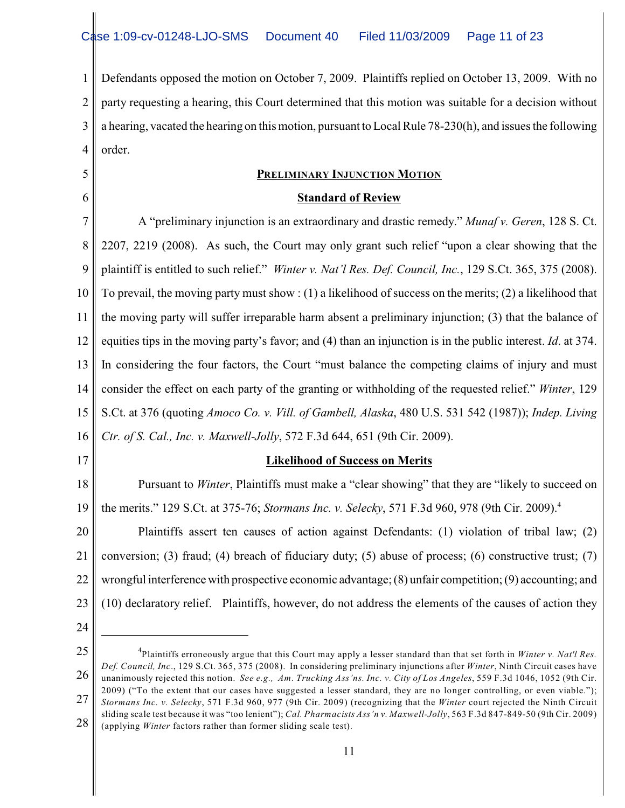1 2 3 4 Defendants opposed the motion on October 7, 2009. Plaintiffs replied on October 13, 2009. With no party requesting a hearing, this Court determined that this motion was suitable for a decision without a hearing, vacated the hearing on this motion, pursuant to Local Rule 78-230(h), and issues the following order.

## **PRELIMINARY INJUNCTION MOTION**

### **Standard of Review**

7 8 9 10 11 12 13 14 15 16 A "preliminary injunction is an extraordinary and drastic remedy." *Munaf v. Geren*, 128 S. Ct. 2207, 2219 (2008). As such, the Court may only grant such relief "upon a clear showing that the plaintiff is entitled to such relief." *Winter v. Nat'l Res. Def. Council, Inc.*, 129 S.Ct. 365, 375 (2008). To prevail, the moving party must show : (1) a likelihood of success on the merits; (2) a likelihood that the moving party will suffer irreparable harm absent a preliminary injunction; (3) that the balance of equities tips in the moving party's favor; and (4) than an injunction is in the public interest. *Id*. at 374. In considering the four factors, the Court "must balance the competing claims of injury and must consider the effect on each party of the granting or withholding of the requested relief." *Winter*, 129 S.Ct. at 376 (quoting *Amoco Co. v. Vill. of Gambell, Alaska*, 480 U.S. 531 542 (1987)); *Indep. Living Ctr. of S. Cal., Inc. v. Maxwell-Jolly*, 572 F.3d 644, 651 (9th Cir. 2009).

17

5

6

## **Likelihood of Success on Merits**

18 19 Pursuant to *Winter*, Plaintiffs must make a "clear showing" that they are "likely to succeed on the merits." 129 S.Ct. at 375-76; *Stormans Inc. v. Selecky*, 571 F.3d 960, 978 (9th Cir. 2009). 4

20 21 22 23 Plaintiffs assert ten causes of action against Defendants: (1) violation of tribal law; (2) conversion; (3) fraud; (4) breach of fiduciary duty; (5) abuse of process; (6) constructive trust; (7) wrongful interference with prospective economic advantage; (8) unfair competition; (9) accounting; and (10) declaratory relief. Plaintiffs, however, do not address the elements of the causes of action they

- 24
- 25

<sup>26</sup> 27 <sup>4</sup>Plaintiffs erroneously argue that this Court may apply a lesser standard than that set forth in *Winter v. Nat'l Res*. *Def. Council, Inc*., 129 S.Ct. 365, 375 (2008). In considering preliminary injunctions after *Winter*, Ninth Circuit cases have unanimously rejected this notion. *See e.g., Am. Trucking Ass'ns. Inc. v. City of Los Angeles*, 559 F.3d 1046, 1052 (9th Cir. 2009) ("To the extent that our cases have suggested a lesser standard, they are no longer controlling, or even viable."); *Stormans Inc. v. Selecky*, 571 F.3d 960, 977 (9th Cir. 2009) (recognizing that the *Winter* court rejected the Ninth Circuit sliding scale test because it was "too lenient"); *Cal. Pharmacists Ass'n v. Maxwell-Jolly*, 563 F.3d 847-849-50 (9th Cir. 2009)

<sup>28</sup> (applying *Winter* factors rather than former sliding scale test).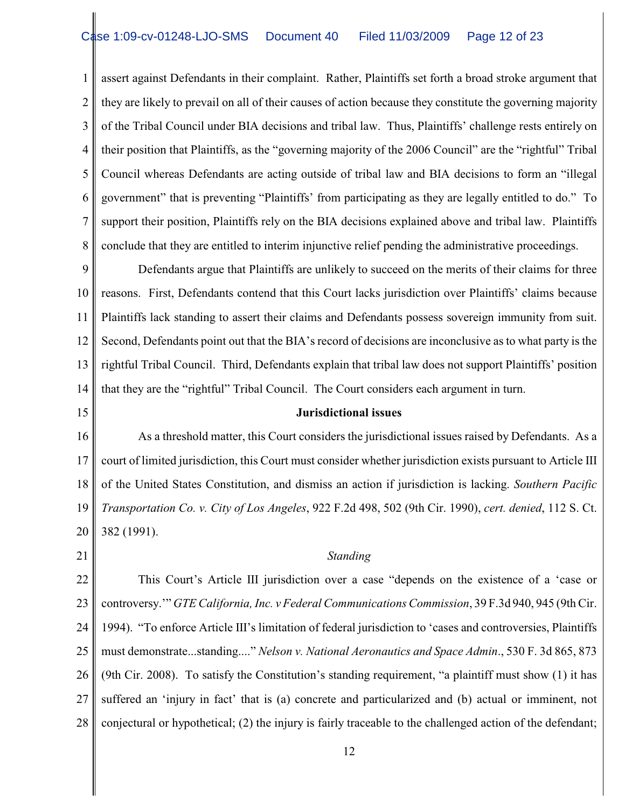1 2 3 4 5 6 7 8 assert against Defendants in their complaint. Rather, Plaintiffs set forth a broad stroke argument that they are likely to prevail on all of their causes of action because they constitute the governing majority of the Tribal Council under BIA decisions and tribal law. Thus, Plaintiffs' challenge rests entirely on their position that Plaintiffs, as the "governing majority of the 2006 Council" are the "rightful" Tribal Council whereas Defendants are acting outside of tribal law and BIA decisions to form an "illegal government" that is preventing "Plaintiffs' from participating as they are legally entitled to do." To support their position, Plaintiffs rely on the BIA decisions explained above and tribal law. Plaintiffs conclude that they are entitled to interim injunctive relief pending the administrative proceedings.

9 10 11 12 13 14 Defendants argue that Plaintiffs are unlikely to succeed on the merits of their claims for three reasons. First, Defendants contend that this Court lacks jurisdiction over Plaintiffs' claims because Plaintiffs lack standing to assert their claims and Defendants possess sovereign immunity from suit. Second, Defendants point out that the BIA's record of decisions are inconclusive as to what party is the rightful Tribal Council. Third, Defendants explain that tribal law does not support Plaintiffs' position that they are the "rightful" Tribal Council. The Court considers each argument in turn.

## 15

#### **Jurisdictional issues**

16 17 18 19 20 As a threshold matter, this Court considers the jurisdictional issues raised by Defendants. As a court of limited jurisdiction, this Court must consider whether jurisdiction exists pursuant to Article III of the United States Constitution, and dismiss an action if jurisdiction is lacking. *Southern Pacific Transportation Co. v. City of Los Angeles*, 922 F.2d 498, 502 (9th Cir. 1990), *cert. denied*, 112 S. Ct. 382 (1991).

21

## *Standing*

22 23 24 25 26 27 28 This Court's Article III jurisdiction over a case "depends on the existence of a 'case or controversy.'" *GTE California, Inc. v Federal Communications Commission*, 39 F.3d 940, 945 (9th Cir. 1994). "To enforce Article III's limitation of federal jurisdiction to 'cases and controversies, Plaintiffs must demonstrate...standing...." *Nelson v. National Aeronautics and Space Admin*., 530 F. 3d 865, 873 (9th Cir. 2008). To satisfy the Constitution's standing requirement, "a plaintiff must show (1) it has suffered an 'injury in fact' that is (a) concrete and particularized and (b) actual or imminent, not conjectural or hypothetical; (2) the injury is fairly traceable to the challenged action of the defendant;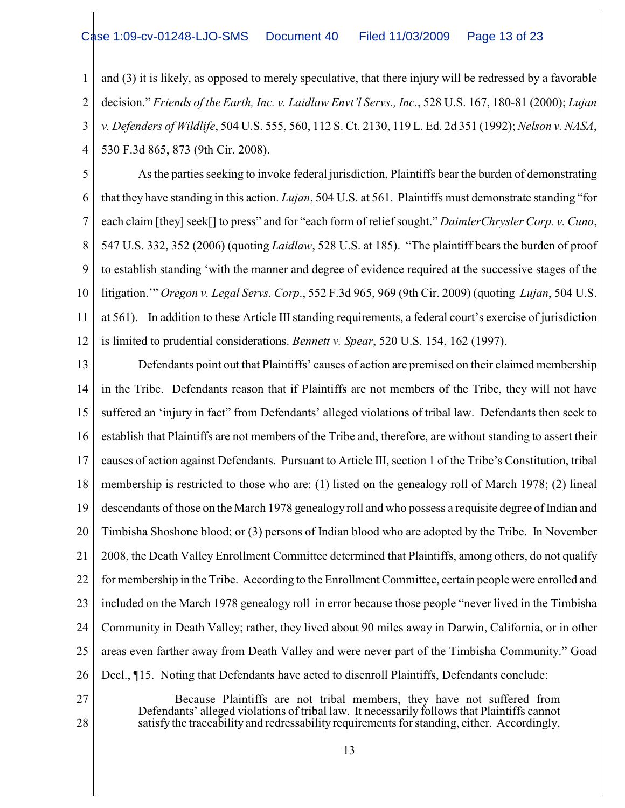# se 1:09-cv-01248-LJO-SMS Document 40 Filed 11/03/2009 Page 13 of 23

1 2 3 4 and (3) it is likely, as opposed to merely speculative, that there injury will be redressed by a favorable decision." *Friends of the Earth, Inc. v. Laidlaw Envt'l Servs., Inc.*, 528 U.S. 167, 180-81 (2000); *Lujan v. Defenders of Wildlife*, 504 U.S. 555, 560, 112 S. Ct. 2130, 119 L. Ed. 2d 351 (1992); *Nelson v. NASA*, 530 F.3d 865, 873 (9th Cir. 2008).

5 6 7 8 9 10 11 12 As the parties seeking to invoke federal jurisdiction, Plaintiffs bear the burden of demonstrating that they have standing in this action. *Lujan*, 504 U.S. at 561. Plaintiffs must demonstrate standing "for each claim [they] seek[] to press" and for "each form of relief sought." *DaimlerChrysler Corp. v. Cuno*, 547 U.S. 332, 352 (2006) (quoting *Laidlaw*, 528 U.S. at 185). "The plaintiff bears the burden of proof to establish standing 'with the manner and degree of evidence required at the successive stages of the litigation.'" *Oregon v. Legal Servs. Corp*., 552 F.3d 965, 969 (9th Cir. 2009) (quoting *Lujan*, 504 U.S. at 561). In addition to these Article III standing requirements, a federal court's exercise of jurisdiction is limited to prudential considerations. *Bennett v. Spear*, 520 U.S. 154, 162 (1997).

13 14 15 16 17 18 19 20 21 22 23 24 25 26 27 Defendants point out that Plaintiffs' causes of action are premised on their claimed membership in the Tribe. Defendants reason that if Plaintiffs are not members of the Tribe, they will not have suffered an 'injury in fact" from Defendants' alleged violations of tribal law. Defendants then seek to establish that Plaintiffs are not members of the Tribe and, therefore, are without standing to assert their causes of action against Defendants. Pursuant to Article III, section 1 of the Tribe's Constitution, tribal membership is restricted to those who are: (1) listed on the genealogy roll of March 1978; (2) lineal descendants of those on the March 1978 genealogy roll and who possess a requisite degree of Indian and Timbisha Shoshone blood; or (3) persons of Indian blood who are adopted by the Tribe. In November 2008, the Death Valley Enrollment Committee determined that Plaintiffs, among others, do not qualify for membership in the Tribe. According to the Enrollment Committee, certain people were enrolled and included on the March 1978 genealogy roll in error because those people "never lived in the Timbisha Community in Death Valley; rather, they lived about 90 miles away in Darwin, California, or in other areas even farther away from Death Valley and were never part of the Timbisha Community." Goad Decl., ¶15. Noting that Defendants have acted to disenroll Plaintiffs, Defendants conclude:

Because Plaintiffs are not tribal members, they have not suffered from Defendants' alleged violations of tribal law. It necessarily follows that Plaintiffs cannot satisfy the traceability and redressability requirements for standing, either. Accordingly,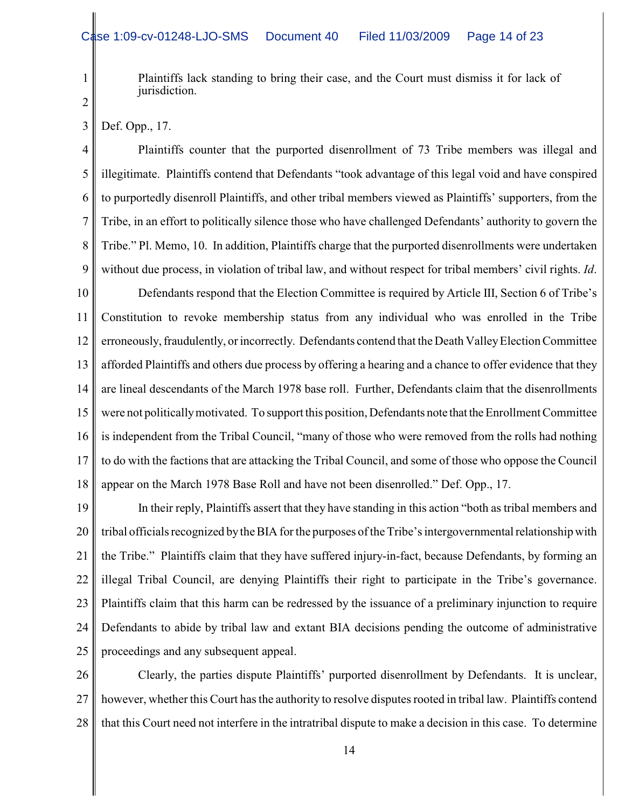Plaintiffs lack standing to bring their case, and the Court must dismiss it for lack of jurisdiction.

2

3

1

Def. Opp., 17.

4 5 6 7 8 9 Plaintiffs counter that the purported disenrollment of 73 Tribe members was illegal and illegitimate. Plaintiffs contend that Defendants "took advantage of this legal void and have conspired to purportedly disenroll Plaintiffs, and other tribal members viewed as Plaintiffs' supporters, from the Tribe, in an effort to politically silence those who have challenged Defendants' authority to govern the Tribe." Pl. Memo, 10. In addition, Plaintiffs charge that the purported disenrollments were undertaken without due process, in violation of tribal law, and without respect for tribal members' civil rights. *Id*.

10 11 12 13 14 15 16 17 18 Defendants respond that the Election Committee is required by Article III, Section 6 of Tribe's Constitution to revoke membership status from any individual who was enrolled in the Tribe erroneously, fraudulently, or incorrectly. Defendants contend that the Death Valley Election Committee afforded Plaintiffs and others due process by offering a hearing and a chance to offer evidence that they are lineal descendants of the March 1978 base roll. Further, Defendants claim that the disenrollments were not politically motivated. To support this position, Defendants note that the Enrollment Committee is independent from the Tribal Council, "many of those who were removed from the rolls had nothing to do with the factions that are attacking the Tribal Council, and some of those who oppose the Council appear on the March 1978 Base Roll and have not been disenrolled." Def. Opp., 17.

19 20 21 22 23 24 25 In their reply, Plaintiffs assert that they have standing in this action "both as tribal members and tribal officials recognized by the BIA for the purposes of theTribe'sintergovernmental relationship with the Tribe." Plaintiffs claim that they have suffered injury-in-fact, because Defendants, by forming an illegal Tribal Council, are denying Plaintiffs their right to participate in the Tribe's governance. Plaintiffs claim that this harm can be redressed by the issuance of a preliminary injunction to require Defendants to abide by tribal law and extant BIA decisions pending the outcome of administrative proceedings and any subsequent appeal.

26 27 28 Clearly, the parties dispute Plaintiffs' purported disenrollment by Defendants. It is unclear, however, whether this Court has the authority to resolve disputes rooted in tribal law. Plaintiffs contend that this Court need not interfere in the intratribal dispute to make a decision in this case. To determine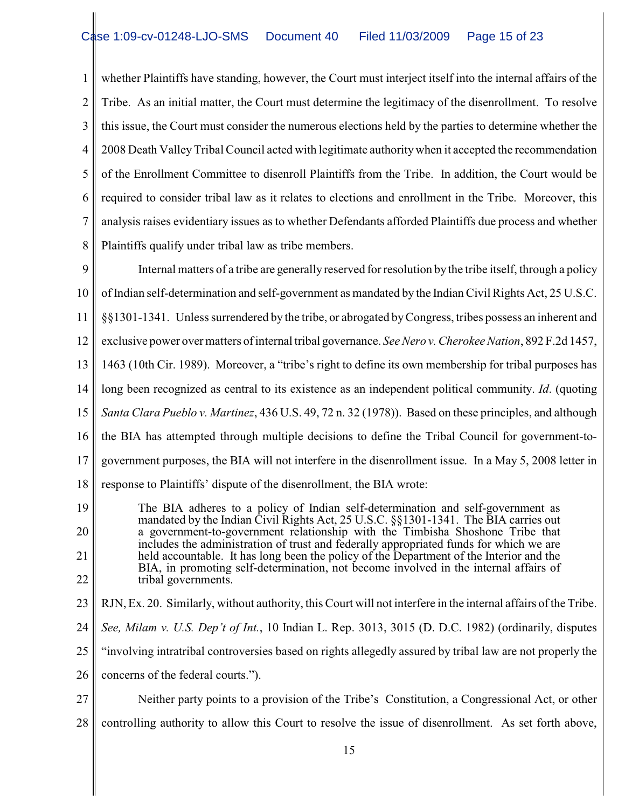1 2 3 4 5 6 7 8 whether Plaintiffs have standing, however, the Court must interject itself into the internal affairs of the Tribe. As an initial matter, the Court must determine the legitimacy of the disenrollment. To resolve this issue, the Court must consider the numerous elections held by the parties to determine whether the 2008 Death ValleyTribal Council acted with legitimate authority when it accepted the recommendation of the Enrollment Committee to disenroll Plaintiffs from the Tribe. In addition, the Court would be required to consider tribal law as it relates to elections and enrollment in the Tribe. Moreover, this analysis raises evidentiary issues as to whether Defendants afforded Plaintiffs due process and whether Plaintiffs qualify under tribal law as tribe members.

9 10 11 12 13 14 15 16 17 18 Internal matters of a tribe are generally reserved for resolution by the tribe itself, through a policy of Indian self-determination and self-government as mandated by the Indian Civil Rights Act, 25 U.S.C. §§1301-1341. Unless surrendered by the tribe, or abrogated byCongress, tribes possess an inherent and exclusive power over matters of internal tribal governance. *See Nero v. Cherokee Nation*, 892 F.2d 1457, 1463 (10th Cir. 1989). Moreover, a "tribe's right to define its own membership for tribal purposes has long been recognized as central to its existence as an independent political community. *Id*. (quoting *Santa Clara Pueblo v. Martinez*, 436 U.S. 49, 72 n. 32 (1978)). Based on these principles, and although the BIA has attempted through multiple decisions to define the Tribal Council for government-togovernment purposes, the BIA will not interfere in the disenrollment issue. In a May 5, 2008 letter in response to Plaintiffs' dispute of the disenrollment, the BIA wrote:

- 19 20 21 22 The BIA adheres to a policy of Indian self-determination and self-government as mandated by the Indian Civil Rights Act, 25 U.S.C. §§1301-1341. The BIA carries out a government-to-government relationship with the Timbisha Shoshone Tribe that includes the administration of trust and federally appropriated funds for which we are held accountable. It has long been the policy of the Department of the Interior and the BIA, in promoting self-determination, not become involved in the internal affairs of tribal governments.
- 23 RJN, Ex. 20. Similarly, without authority, this Court will not interfere in the internal affairs of the Tribe.
- 24 *See, Milam v. U.S. Dep't of Int.*, 10 Indian L. Rep. 3013, 3015 (D. D.C. 1982) (ordinarily, disputes
- 25 "involving intratribal controversies based on rights allegedly assured by tribal law are not properly the
- 26 concerns of the federal courts.").
- 27 28 Neither party points to a provision of the Tribe's Constitution, a Congressional Act, or other controlling authority to allow this Court to resolve the issue of disenrollment. As set forth above,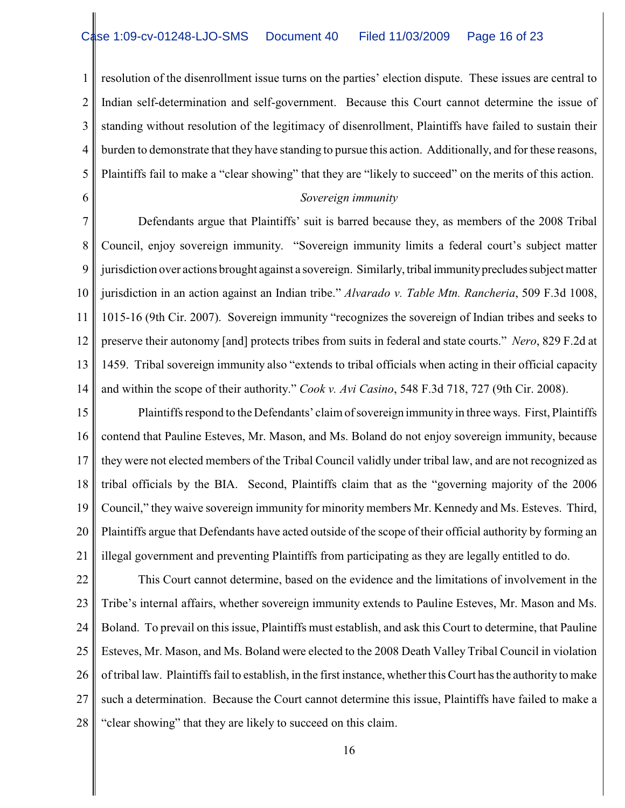1 2 3 4 5 resolution of the disenrollment issue turns on the parties' election dispute. These issues are central to Indian self-determination and self-government. Because this Court cannot determine the issue of standing without resolution of the legitimacy of disenrollment, Plaintiffs have failed to sustain their burden to demonstrate that they have standing to pursue this action. Additionally, and for these reasons, Plaintiffs fail to make a "clear showing" that they are "likely to succeed" on the merits of this action.

6

## *Sovereign immunity*

7 8 9 10 11 12 13 14 Defendants argue that Plaintiffs' suit is barred because they, as members of the 2008 Tribal Council, enjoy sovereign immunity. "Sovereign immunity limits a federal court's subject matter jurisdiction over actions brought against a sovereign. Similarly, tribal immunity precludes subject matter jurisdiction in an action against an Indian tribe." *Alvarado v. Table Mtn. Rancheria*, 509 F.3d 1008, 1015-16 (9th Cir. 2007). Sovereign immunity "recognizes the sovereign of Indian tribes and seeks to preserve their autonomy [and] protects tribes from suits in federal and state courts." *Nero*, 829 F.2d at 1459. Tribal sovereign immunity also "extends to tribal officials when acting in their official capacity and within the scope of their authority." *Cook v. Avi Casino*, 548 F.3d 718, 727 (9th Cir. 2008).

15 16 17 18 19 20 21 Plaintiffs respond to the Defendants' claim of sovereign immunity in three ways. First, Plaintiffs contend that Pauline Esteves, Mr. Mason, and Ms. Boland do not enjoy sovereign immunity, because they were not elected members of the Tribal Council validly under tribal law, and are not recognized as tribal officials by the BIA. Second, Plaintiffs claim that as the "governing majority of the 2006 Council," they waive sovereign immunity for minority members Mr. Kennedy and Ms. Esteves. Third, Plaintiffs argue that Defendants have acted outside of the scope of their official authority by forming an illegal government and preventing Plaintiffs from participating as they are legally entitled to do.

22 23 24 25 26 27 28 This Court cannot determine, based on the evidence and the limitations of involvement in the Tribe's internal affairs, whether sovereign immunity extends to Pauline Esteves, Mr. Mason and Ms. Boland. To prevail on this issue, Plaintiffs must establish, and ask this Court to determine, that Pauline Esteves, Mr. Mason, and Ms. Boland were elected to the 2008 Death Valley Tribal Council in violation of tribal law. Plaintiffs fail to establish, in the first instance, whetherthis Court has the authority to make such a determination. Because the Court cannot determine this issue, Plaintiffs have failed to make a "clear showing" that they are likely to succeed on this claim.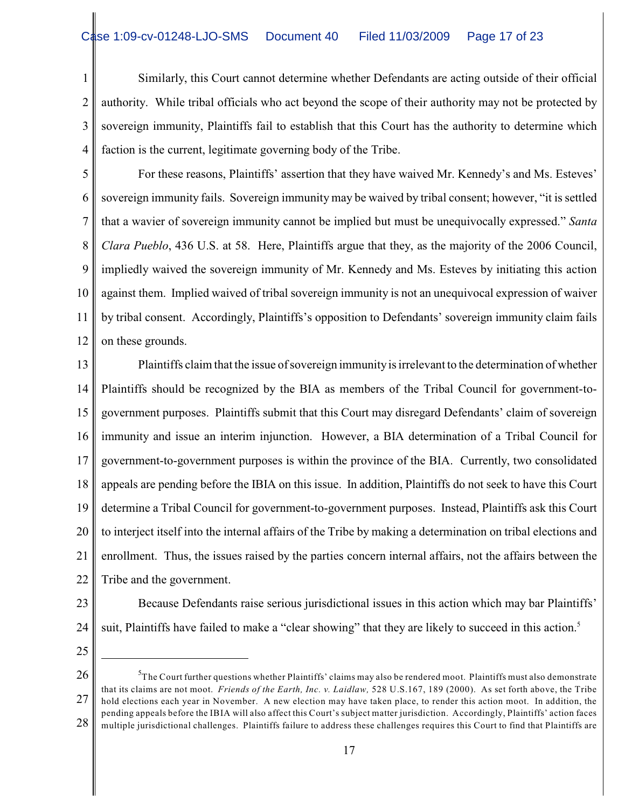1 2 3 4 Similarly, this Court cannot determine whether Defendants are acting outside of their official authority. While tribal officials who act beyond the scope of their authority may not be protected by sovereign immunity, Plaintiffs fail to establish that this Court has the authority to determine which faction is the current, legitimate governing body of the Tribe.

5 6 7 8 9 10 11 12 For these reasons, Plaintiffs' assertion that they have waived Mr. Kennedy's and Ms. Esteves' sovereign immunity fails. Sovereign immunity may be waived by tribal consent; however, "it is settled that a wavier of sovereign immunity cannot be implied but must be unequivocally expressed." *Santa Clara Pueblo*, 436 U.S. at 58. Here, Plaintiffs argue that they, as the majority of the 2006 Council, impliedly waived the sovereign immunity of Mr. Kennedy and Ms. Esteves by initiating this action against them. Implied waived of tribal sovereign immunity is not an unequivocal expression of waiver by tribal consent. Accordingly, Plaintiffs's opposition to Defendants' sovereign immunity claim fails on these grounds.

13 14 15 16 17 18 19 20 21 22 Plaintiffs claim that the issue of sovereign immunityis irrelevant to the determination of whether Plaintiffs should be recognized by the BIA as members of the Tribal Council for government-togovernment purposes. Plaintiffs submit that this Court may disregard Defendants' claim of sovereign immunity and issue an interim injunction. However, a BIA determination of a Tribal Council for government-to-government purposes is within the province of the BIA. Currently, two consolidated appeals are pending before the IBIA on this issue. In addition, Plaintiffs do not seek to have this Court determine a Tribal Council for government-to-government purposes. Instead, Plaintiffs ask this Court to interject itself into the internal affairs of the Tribe by making a determination on tribal elections and enrollment. Thus, the issues raised by the parties concern internal affairs, not the affairs between the Tribe and the government.

- 23
- 24
- 25

suit, Plaintiffs have failed to make a "clear showing" that they are likely to succeed in this action.<sup>5</sup>

Because Defendants raise serious jurisdictional issues in this action which may bar Plaintiffs'

<sup>26</sup> 27 28 <sup>2</sup>The Court further questions whether Plaintiffs' claims may also be rendered moot. Plaintiffs must also demonstrate that its claims are not moot. *Friends of the Earth, Inc. v. Laidlaw,* 528 U.S.167, 189 (2000). As set forth above, the Tribe hold elections each year in November. A new election may have taken place, to render this action moot. In addition, the pending appeals before the IBIA will also affect this Court's subject matter jurisdiction. Accordingly, Plaintiffs' action faces multiple jurisdictional challenges. Plaintiffs failure to address these challenges requires this Court to find that Plaintiffs are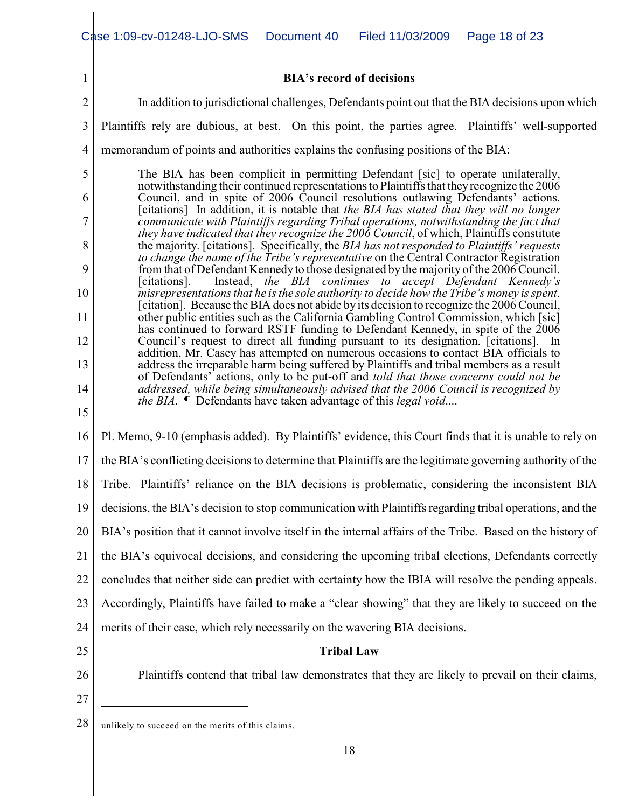|                 | Case 1:09-cv-01248-LJO-SMS<br>Document 40<br>Filed 11/03/2009<br>Page 18 of 23                                                                                                                                                                                                                                                                                                                                                                                                                                                               |  |  |  |  |  |  |
|-----------------|----------------------------------------------------------------------------------------------------------------------------------------------------------------------------------------------------------------------------------------------------------------------------------------------------------------------------------------------------------------------------------------------------------------------------------------------------------------------------------------------------------------------------------------------|--|--|--|--|--|--|
|                 |                                                                                                                                                                                                                                                                                                                                                                                                                                                                                                                                              |  |  |  |  |  |  |
| 1               | <b>BIA's record of decisions</b>                                                                                                                                                                                                                                                                                                                                                                                                                                                                                                             |  |  |  |  |  |  |
| $\overline{2}$  | In addition to jurisdictional challenges, Defendants point out that the BIA decisions upon which                                                                                                                                                                                                                                                                                                                                                                                                                                             |  |  |  |  |  |  |
| 3               | Plaintiffs rely are dubious, at best. On this point, the parties agree. Plaintiffs' well-supported                                                                                                                                                                                                                                                                                                                                                                                                                                           |  |  |  |  |  |  |
| $\overline{4}$  | memorandum of points and authorities explains the confusing positions of the BIA:                                                                                                                                                                                                                                                                                                                                                                                                                                                            |  |  |  |  |  |  |
| 5               | The BIA has been complicit in permitting Defendant [sic] to operate unilaterally,<br>notwithstanding their continued representations to Plaintiffs that they recognize the 2006                                                                                                                                                                                                                                                                                                                                                              |  |  |  |  |  |  |
| 6               | Council, and in spite of 2006 Council resolutions outlawing Defendants' actions.<br>[citations] In addition, it is notable that the BIA has stated that they will no longer                                                                                                                                                                                                                                                                                                                                                                  |  |  |  |  |  |  |
| 7               | communicate with Plaintiffs regarding Tribal operations, notwithstanding the fact that<br>they have indicated that they recognize the 2006 Council, of which, Plaintiffs constitute                                                                                                                                                                                                                                                                                                                                                          |  |  |  |  |  |  |
| 8               | the majority. [citations]. Specifically, the BIA has not responded to Plaintiffs' requests<br>to change the name of the Tribe's representative on the Central Contractor Registration                                                                                                                                                                                                                                                                                                                                                        |  |  |  |  |  |  |
| 9               | from that of Defendant Kennedy to those designated by the majority of the 2006 Council.<br>Instead, the BIA continues to accept Defendant Kennedy's<br>[citations].                                                                                                                                                                                                                                                                                                                                                                          |  |  |  |  |  |  |
| 10              | misrepresentations that he is the sole authority to decide how the Tribe's money is spent.<br>[citation]. Because the BIA does not abide by its decision to recognize the 2006 Council,                                                                                                                                                                                                                                                                                                                                                      |  |  |  |  |  |  |
| 11              | other public entities such as the California Gambling Control Commission, which [sic]<br>has continued to forward RSTF funding to Defendant Kennedy, in spite of the 2006<br>Council's request to direct all funding pursuant to its designation. [citations]. In<br>addition, Mr. Casey has attempted on numerous occasions to contact BIA officials to<br>address the irreparable harm being suffered by Plaintiffs and tribal members as a result<br>of Defendants' actions, only to be put-off and told that those concerns could not be |  |  |  |  |  |  |
| 12              |                                                                                                                                                                                                                                                                                                                                                                                                                                                                                                                                              |  |  |  |  |  |  |
| 13              |                                                                                                                                                                                                                                                                                                                                                                                                                                                                                                                                              |  |  |  |  |  |  |
| 14<br>15        | addressed, while being simultaneously advised that the 2006 Council is recognized by<br><i>the BIA</i> . <i>I</i> Defendants have taken advantage of this <i>legal void</i>                                                                                                                                                                                                                                                                                                                                                                  |  |  |  |  |  |  |
| 16              | Pl. Memo, 9-10 (emphasis added). By Plaintiffs' evidence, this Court finds that it is unable to rely on                                                                                                                                                                                                                                                                                                                                                                                                                                      |  |  |  |  |  |  |
| 17 <sub>l</sub> | the BIA's conflicting decisions to determine that Plaintiffs are the legitimate governing authority of the                                                                                                                                                                                                                                                                                                                                                                                                                                   |  |  |  |  |  |  |
| 18              | Tribe. Plaintiffs' reliance on the BIA decisions is problematic, considering the inconsistent BIA                                                                                                                                                                                                                                                                                                                                                                                                                                            |  |  |  |  |  |  |
| 19              | decisions, the BIA's decision to stop communication with Plaintiffs regarding tribal operations, and the                                                                                                                                                                                                                                                                                                                                                                                                                                     |  |  |  |  |  |  |
| 20              | BIA's position that it cannot involve itself in the internal affairs of the Tribe. Based on the history of                                                                                                                                                                                                                                                                                                                                                                                                                                   |  |  |  |  |  |  |
| 21              | the BIA's equivocal decisions, and considering the upcoming tribal elections, Defendants correctly                                                                                                                                                                                                                                                                                                                                                                                                                                           |  |  |  |  |  |  |
| 22              | concludes that neither side can predict with certainty how the IBIA will resolve the pending appeals.                                                                                                                                                                                                                                                                                                                                                                                                                                        |  |  |  |  |  |  |
| 23              | Accordingly, Plaintiffs have failed to make a "clear showing" that they are likely to succeed on the                                                                                                                                                                                                                                                                                                                                                                                                                                         |  |  |  |  |  |  |
| 24              | merits of their case, which rely necessarily on the wavering BIA decisions.                                                                                                                                                                                                                                                                                                                                                                                                                                                                  |  |  |  |  |  |  |
| 25              | <b>Tribal Law</b>                                                                                                                                                                                                                                                                                                                                                                                                                                                                                                                            |  |  |  |  |  |  |
| 26              | Plaintiffs contend that tribal law demonstrates that they are likely to prevail on their claims,                                                                                                                                                                                                                                                                                                                                                                                                                                             |  |  |  |  |  |  |
| 27              |                                                                                                                                                                                                                                                                                                                                                                                                                                                                                                                                              |  |  |  |  |  |  |
| 28              | unlikely to succeed on the merits of this claims.                                                                                                                                                                                                                                                                                                                                                                                                                                                                                            |  |  |  |  |  |  |
|                 | 18                                                                                                                                                                                                                                                                                                                                                                                                                                                                                                                                           |  |  |  |  |  |  |
|                 |                                                                                                                                                                                                                                                                                                                                                                                                                                                                                                                                              |  |  |  |  |  |  |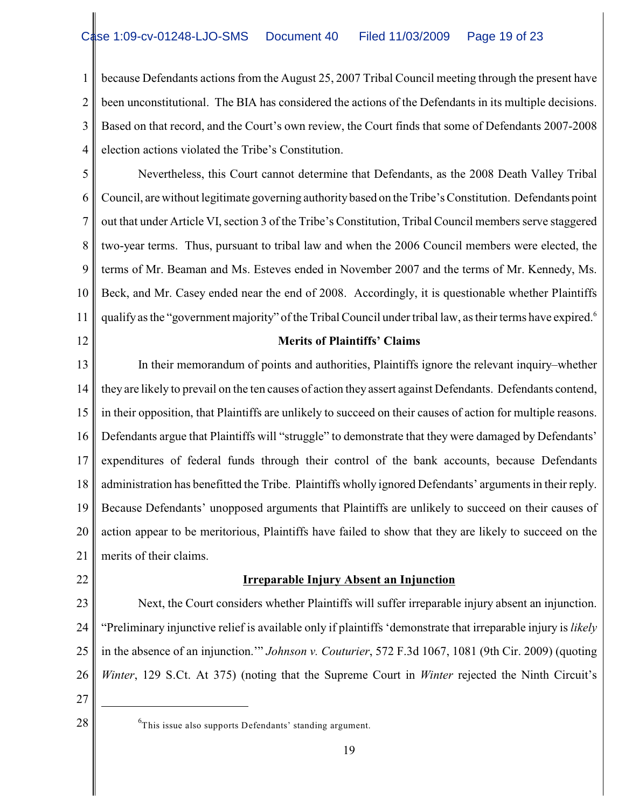1 2 3 4 because Defendants actions from the August 25, 2007 Tribal Council meeting through the present have been unconstitutional. The BIA has considered the actions of the Defendants in its multiple decisions. Based on that record, and the Court's own review, the Court finds that some of Defendants 2007-2008 election actions violated the Tribe's Constitution.

5 6 7 8 9 10 11 Nevertheless, this Court cannot determine that Defendants, as the 2008 Death Valley Tribal Council, are without legitimate governing authority based on the Tribe's Constitution. Defendants point out that under Article VI, section 3 of the Tribe's Constitution, Tribal Council members serve staggered two-year terms. Thus, pursuant to tribal law and when the 2006 Council members were elected, the terms of Mr. Beaman and Ms. Esteves ended in November 2007 and the terms of Mr. Kennedy, Ms. Beck, and Mr. Casey ended near the end of 2008. Accordingly, it is questionable whether Plaintiffs qualify as the "government majority" of the Tribal Council under tribal law, as their terms have expired.<sup>6</sup>

12

## **Merits of Plaintiffs' Claims**

13 14 15 16 17 18 19 20 21 In their memorandum of points and authorities, Plaintiffs ignore the relevant inquiry–whether they are likely to prevail on the ten causes of action they assert against Defendants. Defendants contend, in their opposition, that Plaintiffs are unlikely to succeed on their causes of action for multiple reasons. Defendants argue that Plaintiffs will "struggle" to demonstrate that they were damaged by Defendants' expenditures of federal funds through their control of the bank accounts, because Defendants administration has benefitted the Tribe. Plaintiffs wholly ignored Defendants' arguments in their reply. Because Defendants' unopposed arguments that Plaintiffs are unlikely to succeed on their causes of action appear to be meritorious, Plaintiffs have failed to show that they are likely to succeed on the merits of their claims.

22

## **Irreparable Injury Absent an Injunction**

23 24 25 26 Next, the Court considers whether Plaintiffs will suffer irreparable injury absent an injunction. "Preliminary injunctive relief is available only if plaintiffs 'demonstrate that irreparable injury is *likely* in the absence of an injunction.'" *Johnson v. Couturier*, 572 F.3d 1067, 1081 (9th Cir. 2009) (quoting *Winter*, 129 S.Ct. At 375) (noting that the Supreme Court in *Winter* rejected the Ninth Circuit's

- 27
- 

 $28 \parallel$  <sup>6</sup>This issue also supports Defendants' standing argument.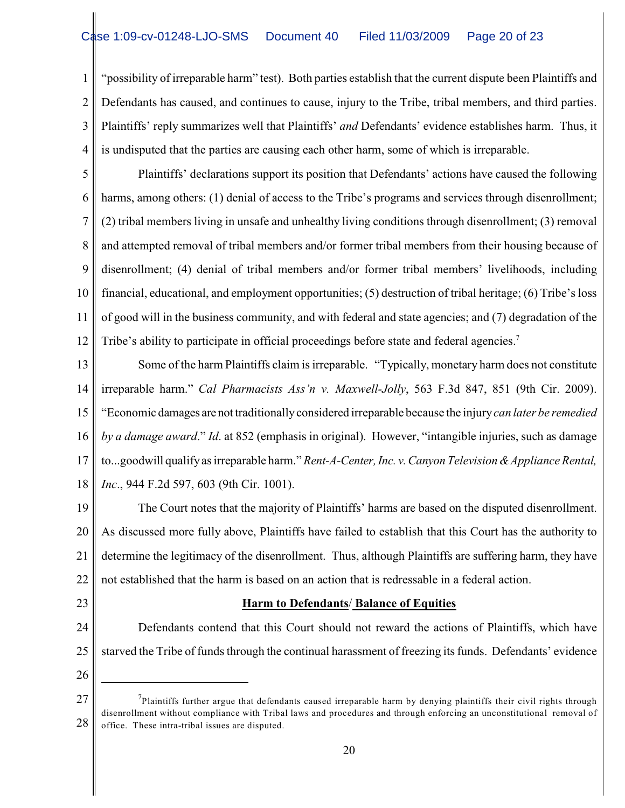1 2 3 4 "possibility of irreparable harm" test). Both parties establish that the current dispute been Plaintiffs and Defendants has caused, and continues to cause, injury to the Tribe, tribal members, and third parties. Plaintiffs' reply summarizes well that Plaintiffs' *and* Defendants' evidence establishes harm. Thus, it is undisputed that the parties are causing each other harm, some of which is irreparable.

5 6 7 8 9 10 11 12 Plaintiffs' declarations support its position that Defendants' actions have caused the following harms, among others: (1) denial of access to the Tribe's programs and services through disenrollment; (2) tribal members living in unsafe and unhealthy living conditions through disenrollment; (3) removal and attempted removal of tribal members and/or former tribal members from their housing because of disenrollment; (4) denial of tribal members and/or former tribal members' livelihoods, including financial, educational, and employment opportunities; (5) destruction of tribal heritage; (6) Tribe's loss of good will in the business community, and with federal and state agencies; and (7) degradation of the Tribe's ability to participate in official proceedings before state and federal agencies.<sup>7</sup>

13 14 15 16 17 18 Some of the harm Plaintiffs claim is irreparable. "Typically, monetary harm does not constitute irreparable harm." *Cal Pharmacists Ass'n v. Maxwell-Jolly*, 563 F.3d 847, 851 (9th Cir. 2009). "Economic damages are not traditionally considered irreparable because the injury *can later be remedied by a damage award*." *Id*. at 852 (emphasis in original). However, "intangible injuries, such as damage to...goodwill qualify as irreparable harm." *Rent-A-Center, Inc. v. Canyon Television & Appliance Rental, Inc*., 944 F.2d 597, 603 (9th Cir. 1001).

19 20 21 22 The Court notes that the majority of Plaintiffs' harms are based on the disputed disenrollment. As discussed more fully above, Plaintiffs have failed to establish that this Court has the authority to determine the legitimacy of the disenrollment. Thus, although Plaintiffs are suffering harm, they have not established that the harm is based on an action that is redressable in a federal action.

23

# **Harm to Defendants**/ **Balance of Equities**

24 25 Defendants contend that this Court should not reward the actions of Plaintiffs, which have starved the Tribe of funds through the continual harassment of freezing its funds. Defendants' evidence

<sup>27</sup> 28  $<sup>7</sup>$ Plaintiffs further argue that defendants caused irreparable harm by denying plaintiffs their civil rights through</sup> disenrollment without compliance with Tribal laws and procedures and through enforcing an unconstitutional removal of office. These intra-tribal issues are disputed.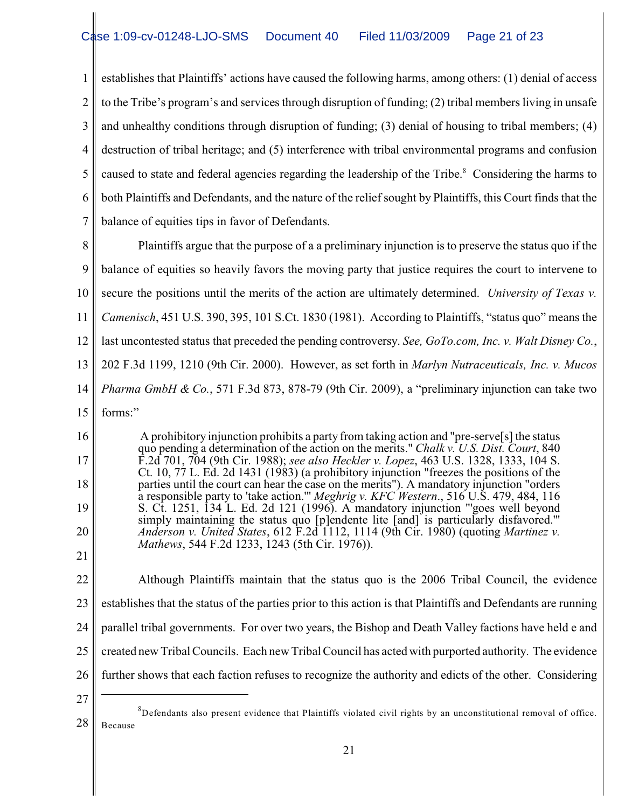1 2 3 4 5 6 7 establishes that Plaintiffs' actions have caused the following harms, among others: (1) denial of access to the Tribe's program's and services through disruption of funding; (2) tribal members living in unsafe and unhealthy conditions through disruption of funding; (3) denial of housing to tribal members; (4) destruction of tribal heritage; and (5) interference with tribal environmental programs and confusion caused to state and federal agencies regarding the leadership of the Tribe.<sup>8</sup> Considering the harms to both Plaintiffs and Defendants, and the nature of the relief sought by Plaintiffs, this Court finds that the balance of equities tips in favor of Defendants.

8 9 10 11 12 13 14 15 Plaintiffs argue that the purpose of a a preliminary injunction is to preserve the status quo if the balance of equities so heavily favors the moving party that justice requires the court to intervene to secure the positions until the merits of the action are ultimately determined. *University of Texas v. Camenisch*, 451 U.S. 390, 395, 101 S.Ct. 1830 (1981). According to Plaintiffs, "status quo" means the last uncontested status that preceded the pending controversy. *See, GoTo.com, Inc. v. Walt Disney Co.*, 202 F.3d 1199, 1210 (9th Cir. 2000). However, as set forth in *Marlyn Nutraceuticals, Inc. v. Mucos Pharma GmbH & Co.*, 571 F.3d 873, 878-79 (9th Cir. 2009), a "preliminary injunction can take two forms:"

16 18 19 20 A prohibitory injunction prohibits a party from taking action and "pre-serve[s] the status quo pending a determination of the action on the merits." *Chalk v. U.S. Dist. Court*, 840 F.2d 701, 704 (9th Cir. 1988); *see also Heckler v. Lopez*, 463 U.S. 1328, 1333, 104 S. Ct. 10, 77 L. Ed. 2d 1431 (1983) (a prohibitory injunction "freezes the positions of the parties until the court can hear the case on the merits"). A mandatory injunction "orders a responsible party to 'take action.'" *Meghrig v. KFC Western*., 516 U.S. 479, 484, 116 S. Ct. 1251, 134 L. Ed. 2d 121 (1996). A mandatory injunction "'goes well beyond simply maintaining the status quo [p]endente lite [and] is particularly disfavored.'" *Anderson v. United States*, 612 F.2d 1112, 1114 (9th Cir. 1980) (quoting *Martinez v. Mathews*, 544 F.2d 1233, 1243 (5th Cir. 1976)).

22 23 24 25 26 Although Plaintiffs maintain that the status quo is the 2006 Tribal Council, the evidence establishes that the status of the parties prior to this action is that Plaintiffs and Defendants are running parallel tribal governments. For over two years, the Bishop and Death Valley factions have held e and created new Tribal Councils. Each new Tribal Council has acted with purported authority. The evidence further shows that each faction refuses to recognize the authority and edicts of the other. Considering

27

17

<sup>28</sup>  ${}^{8}$ Defendants also present evidence that Plaintiffs violated civil rights by an unconstitutional removal of office. Because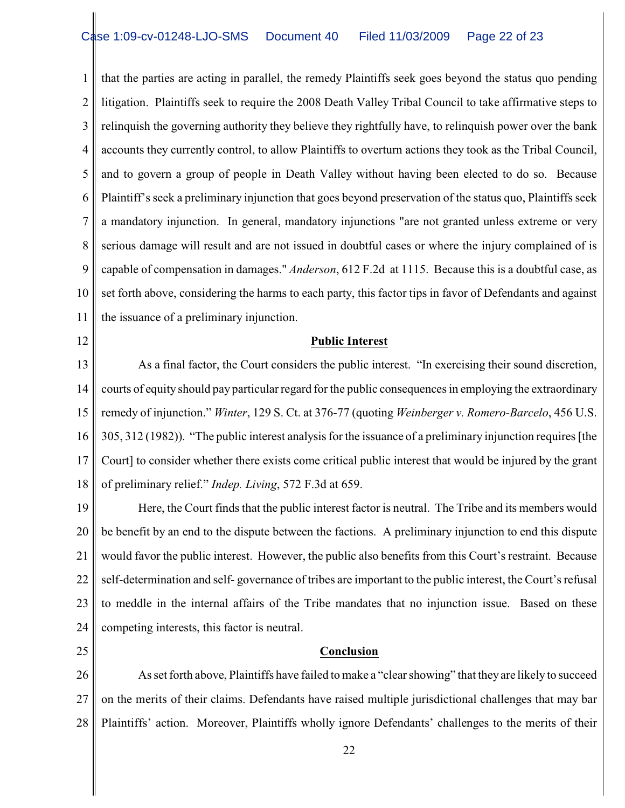1 2 3 4 5 6 7 8 9 10 11 that the parties are acting in parallel, the remedy Plaintiffs seek goes beyond the status quo pending litigation. Plaintiffs seek to require the 2008 Death Valley Tribal Council to take affirmative steps to relinquish the governing authority they believe they rightfully have, to relinquish power over the bank accounts they currently control, to allow Plaintiffs to overturn actions they took as the Tribal Council, and to govern a group of people in Death Valley without having been elected to do so. Because Plaintiff's seek a preliminary injunction that goes beyond preservation of the status quo, Plaintiffs seek a mandatory injunction. In general, mandatory injunctions "are not granted unless extreme or very serious damage will result and are not issued in doubtful cases or where the injury complained of is capable of compensation in damages." *Anderson*, 612 F.2d at 1115. Because this is a doubtful case, as set forth above, considering the harms to each party, this factor tips in favor of Defendants and against the issuance of a preliminary injunction.

12

#### **Public Interest**

13 14 15 16 17 18 As a final factor, the Court considers the public interest. "In exercising their sound discretion, courts of equity should pay particular regard for the public consequences in employing the extraordinary remedy of injunction." *Winter*, 129 S. Ct. at 376-77 (quoting *Weinberger v. Romero-Barcelo*, 456 U.S. 305, 312 (1982)). "The public interest analysis for the issuance of a preliminary injunction requires [the Court] to consider whether there exists come critical public interest that would be injured by the grant of preliminary relief." *Indep. Living*, 572 F.3d at 659.

19 20 21 22 23 24 Here, the Court finds that the public interest factor is neutral. The Tribe and its members would be benefit by an end to the dispute between the factions. A preliminary injunction to end this dispute would favor the public interest. However, the public also benefits from this Court's restraint. Because self-determination and self- governance of tribes are important to the public interest, the Court's refusal to meddle in the internal affairs of the Tribe mandates that no injunction issue. Based on these competing interests, this factor is neutral.

25

#### **Conclusion**

26 27 28 As set forth above, Plaintiffs have failed to make a "clear showing" that they are likely to succeed on the merits of their claims. Defendants have raised multiple jurisdictional challenges that may bar Plaintiffs' action. Moreover, Plaintiffs wholly ignore Defendants' challenges to the merits of their